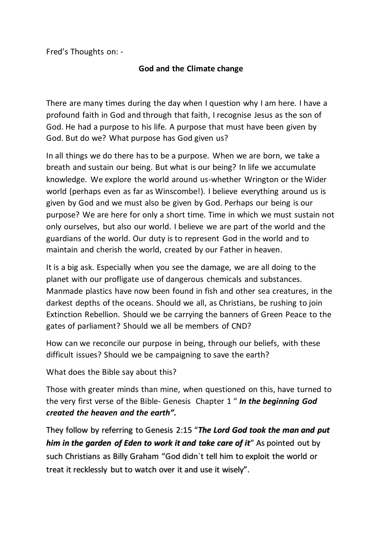Fred's Thoughts on: -

## **God and the Climate change**

There are many times during the day when I question why I am here. I have a profound faith in God and through that faith, I recognise Jesus as the son of God. He had a purpose to his life. A purpose that must have been given by God. But do we? What purpose has God given us?

In all things we do there has to be a purpose. When we are born, we take a breath and sustain our being. But what is our being? In life we accumulate knowledge. We explore the world around us-whether Wrington or the Wider world (perhaps even as far as Winscombe!). I believe everything around us is given by God and we must also be given by God. Perhaps our being is our purpose? We are here for only a short time. Time in which we must sustain not only ourselves, but also our world. I believe we are part of the world and the guardians of the world. Our duty is to represent God in the world and to maintain and cherish the world, created by our Father in heaven.

It is a big ask. Especially when you see the damage, we are all doing to the planet with our profligate use of dangerous chemicals and substances. Manmade plastics have now been found in fish and other sea creatures, in the darkest depths of the oceans. Should we all, as Christians, be rushing to join Extinction Rebellion. Should we be carrying the banners of Green Peace to the gates of parliament? Should we all be members of CND?

How can we reconcile our purpose in being, through our beliefs, with these difficult issues? Should we be campaigning to save the earth?

What does the Bible say about this?

Those with greater minds than mine, when questioned on this, have turned to the very first verse of the Bible- Genesis Chapter 1 " *[In the beginning God](https://www.kingjamesbibleonline.org/Genesis-1-1/)  [created the heaven and the earth".](https://www.kingjamesbibleonline.org/Genesis-1-1/)*

They follow by referring to Genesis 2:15 "*The Lord God took the man and put him in the garden of Eden to work it and take care of it*" As pointed out by such Christians as Billy Graham "God didn`t tell him to exploit the world or treat it recklessly but to watch over it and use it wisely".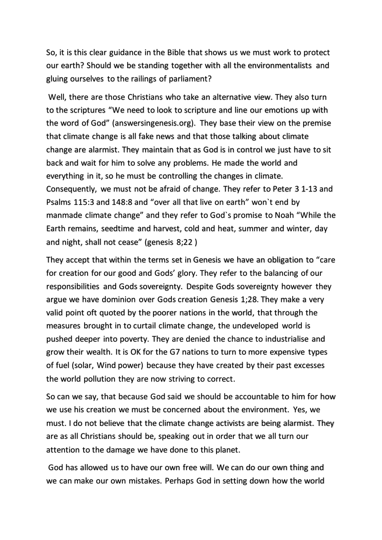So, it is this clear guidance in the Bible that shows us we must work to protect our earth? Should we be standing together with all the environmentalists and gluing ourselves to the railings of parliament?

Well, there are those Christians who take an alternative view. They also turn to the scriptures "We need to look to scripture and line our emotions up with the word of God" (answersingenesis.org). They base their view on the premise that climate change is all fake news and that those talking about climate change are alarmist. They maintain that as God is in control we just have to sit back and wait for him to solve any problems. He made the world and everything in it, so he must be controlling the changes in climate. Consequently, we must not be afraid of change. They refer to Peter 3 1-13 and Psalms 115:3 and 148:8 and "over all that live on earth" won`t end by manmade climate change" and they refer to God`s promise to Noah "While the Earth remains, seedtime and harvest, cold and heat, summer and winter, day and night, shall not cease" (genesis 8;22 )

They accept that within the terms set in Genesis we have an obligation to "care for creation for our good and Gods' glory. They refer to the balancing of our responsibilities and Gods sovereignty. Despite Gods sovereignty however they argue we have dominion over Gods creation Genesis 1;28. They make a very valid point oft quoted by the poorer nations in the world, that through the measures brought in to curtail climate change, the undeveloped world is pushed deeper into poverty. They are denied the chance to industrialise and grow their wealth. It is OK for the G7 nations to turn to more expensive types of fuel (solar, Wind power) because they have created by their past excesses the world pollution they are now striving to correct.

So can we say, that because God said we should be accountable to him for how we use his creation we must be concerned about the environment. Yes, we must. I do not believe that the climate change activists are being alarmist. They are as all Christians should be, speaking out in order that we all turn our attention to the damage we have done to this planet.

God has allowed us to have our own free will. We can do our own thing and we can make our own mistakes. Perhaps God in setting down how the world